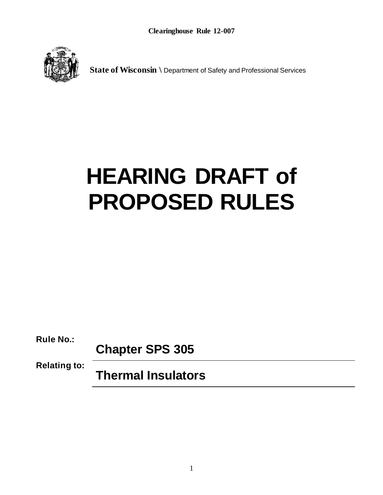

**State of Wisconsin \** Department of Safety and Professional Services

# **HEARING DRAFT of PROPOSED RULES**

**Rule No.:**

**Chapter SPS 305**

**Relating to:**

**Thermal Insulators**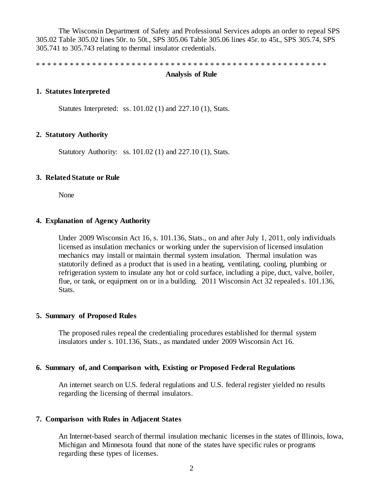The Wisconsin Department of Safety and Professional Services adopts an order to repeal SPS 305.02 Table 305.02 lines 50r. to 50t., SPS 305.06 Table 305.06 lines 45r. to 45t., SPS 305.74, SPS 305.741 to 305.743 relating to thermal insulator credentials.

\* \* \* \* \* \* \* \* \* \* \* \* \* \* \* \* \* \* \* \* \* \* \* \* \* \* \* \* \* \* \* \* \* \* \* \* \* \* \* \* \* \* \* \* \* \* \* \* \* \* \* \*

#### **Analysis of Rule**

### **1. Statutes Interpreted**

Statutes Interpreted: ss. 101.02 (1) and 227.10 (1), Stats.

#### **2. Statutory Authority**

Statutory Authority: ss. 101.02 (1) and 227.10 (1), Stats.

#### **3. Related Statute or Rule**

None

#### **4. Explanation of Agency Authority**

Under 2009 Wisconsin Act 16, s. 101.136, Stats., on and after July 1, 2011, only individuals licensed as insulation mechanics or working under the supervision of licensed insulation mechanics may install or maintain thermal system insulation. Thermal insulation was statutorily defined as a product that is used in a heating, ventilating, cooling, plumbing or refrigeration system to insulate any hot or cold surface, including a pipe, duct, valve, boiler, flue, or tank, or equipment on or in a building. 2011 Wisconsin Act 32 repealed s. 101.136, Stats.

### **5. Summary of Proposed Rules**

The proposed rules repeal the credentialing procedures established for thermal system insulators under s. 101.136, Stats., as mandated under 2009 Wisconsin Act 16.

#### **6. Summary of, and Comparison with, Existing or Proposed Federal Regulations**

An internet search on U.S. federal regulations and U.S. federal register yielded no results regarding the licensing of thermal insulators.

## **7. Comparison with Rules in Adjacent States**

An Internet-based search of thermal insulation mechanic licenses in the states of Illinois, Iowa, Michigan and Minnesota found that none of the states have specific rules or programs regarding these types of licenses.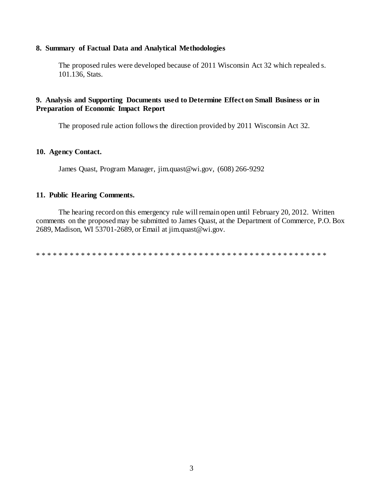## 8. Summary of Factual Data and Analytical Methodologies

The proposed rules were developed because of 2011 Wisconsin Act 32 which repealed s. 101.136, Stats.

# 9. Analysis and Supporting Documents used to Determine Effect on Small Business or in **Preparation of Economic Impact Report**

The proposed rule action follows the direction provided by 2011 Wisconsin Act 32.

# 10. Agency Contact.

James Quast, Program Manager, jim.quast@wi.gov, (608) 266-9292

## 11. Public Hearing Comments.

The hearing record on this emergency rule will remain open until February 20, 2012. Written comments on the proposed may be submitted to James Quast, at the Department of Commerce, P.O. Box 2689, Madison, WI 53701-2689, or Email at jim.quast@wi.gov.